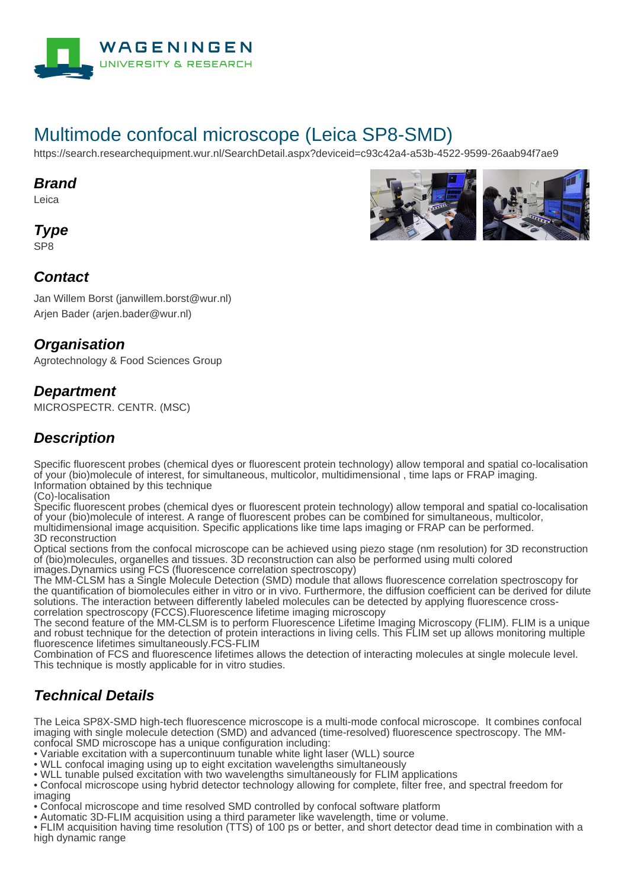

# Multimode confocal microscope (Leica SP8-SMD)

https://search.researchequipment.wur.nl/SearchDetail.aspx?deviceid=c93c42a4-a53b-4522-9599-26aab94f7ae9

#### **Brand**

Leica

**Type**

SP8

#### **Contact**

Jan Willem Borst (janwillem.borst@wur.nl) Arjen Bader (arjen.bader@wur.nl)

### **Organisation**

Agrotechnology & Food Sciences Group

#### **Department**

MICROSPECTR. CENTR. (MSC)

## **Description**

Specific fluorescent probes (chemical dyes or fluorescent protein technology) allow temporal and spatial co-localisation of your (bio)molecule of interest, for simultaneous, multicolor, multidimensional , time laps or FRAP imaging. Information obtained by this technique

(Co)-localisation

Specific fluorescent probes (chemical dyes or fluorescent protein technology) allow temporal and spatial co-localisation of your (bio)molecule of interest. A range of fluorescent probes can be combined for simultaneous, multicolor, multidimensional image acquisition. Specific applications like time laps imaging or FRAP can be performed. 3D reconstruction

Optical sections from the confocal microscope can be achieved using piezo stage (nm resolution) for 3D reconstruction of (bio)molecules, organelles and tissues. 3D reconstruction can also be performed using multi colored images.Dynamics using FCS (fluorescence correlation spectroscopy)

The MM-CLSM has a Single Molecule Detection (SMD) module that allows fluorescence correlation spectroscopy for the quantification of biomolecules either in vitro or in vivo. Furthermore, the diffusion coefficient can be derived for dilute solutions. The interaction between differently labeled molecules can be detected by applying fluorescence crosscorrelation spectroscopy (FCCS).Fluorescence lifetime imaging microscopy

The second feature of the MM-CLSM is to perform Fluorescence Lifetime Imaging Microscopy (FLIM). FLIM is a unique and robust technique for the detection of protein interactions in living cells. This FLIM set up allows monitoring multiple fluorescence lifetimes simultaneously.FCS-FLIM

Combination of FCS and fluorescence lifetimes allows the detection of interacting molecules at single molecule level. This technique is mostly applicable for in vitro studies.

## **Technical Details**

The Leica SP8X-SMD high-tech fluorescence microscope is a multi-mode confocal microscope. It combines confocal imaging with single molecule detection (SMD) and advanced (time-resolved) fluorescence spectroscopy. The MMconfocal SMD microscope has a unique configuration including:

- Variable excitation with a supercontinuum tunable white light laser (WLL) source
- WLL confocal imaging using up to eight excitation wavelengths simultaneously
- WLL tunable pulsed excitation with two wavelengths simultaneously for FLIM applications
- Confocal microscope using hybrid detector technology allowing for complete, filter free, and spectral freedom for imaging
- Confocal microscope and time resolved SMD controlled by confocal software platform
- Automatic 3D-FLIM acquisition using a third parameter like wavelength, time or volume.

• FLIM acquisition having time resolution (TTS) of 100 ps or better, and short detector dead time in combination with a high dynamic range